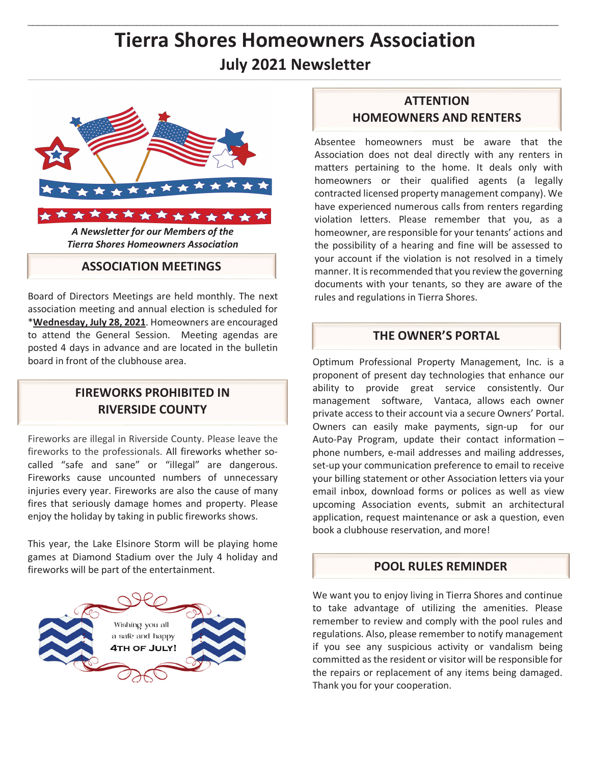# **Tierra Shores Homeowners Association July 2021 Newsletter**



*A Newsletter for our Members of the Tierra Shores Homeowners Association* 

#### **ASSOCIATION MEETINGS**

Board of Directors Meetings are held monthly. The next association meeting and annual election is scheduled for \***Wednesday, July 28, 2021**. Homeowners are encouraged to attend the General Session. Meeting agendas are posted 4 days in advance and are located in the bulletin board in front of the clubhouse area.

### **FIREWORKS PROHIBITED IN RIVERSIDE COUNTY**

Fireworks are illegal in Riverside County. Please leave the fireworks to the professionals. All fireworks whether socalled "safe and sane" or "illegal" are dangerous. Fireworks cause uncounted numbers of unnecessary injuries every year. Fireworks are also the cause of many fires that seriously damage homes and property. Please enjoy the holiday by taking in public fireworks shows.

This year, the Lake Elsinore Storm will be playing home games at Diamond Stadium over the July 4 holiday and fireworks will be part of the entertainment.



## **ATTENTION HOMEOWNERS AND RENTERS**

Absentee homeowners must be aware that the Association does not deal directly with any renters in matters pertaining to the home. It deals only with homeowners or their qualified agents (a legally contracted licensed property management company). We have experienced numerous calls from renters regarding violation letters. Please remember that you, as a homeowner, are responsible for your tenants' actions and the possibility of a hearing and fine will be assessed to your account if the violation is not resolved in a timely manner. It is recommended that you review the governing documents with your tenants, so they are aware of the rules and regulations in Tierra Shores.

#### **THE OWNER'S PORTAL**

Optimum Professional Property Management, Inc. is a proponent of present day technologies that enhance our ability to provide great service consistently. Our management software, Vantaca, allows each owner private access to their account via a secure Owners' Portal. Owners can easily make payments, sign-up for our Auto-Pay Program, update their contact information – phone numbers, e-mail addresses and mailing addresses, set-up your communication preference to email to receive your billing statement or other Association letters via your email inbox, download forms or polices as well as view upcoming Association events, submit an architectural application, request maintenance or ask a question, even book a clubhouse reservation, and more!

#### **POOL RULES REMINDER**

We want you to enjoy living in Tierra Shores and continue to take advantage of utilizing the amenities. Please remember to review and comply with the pool rules and regulations. Also, please remember to notify management if you see any suspicious activity or vandalism being committed as the resident or visitor will be responsible for the repairs or replacement of any items being damaged. Thank you for your cooperation.